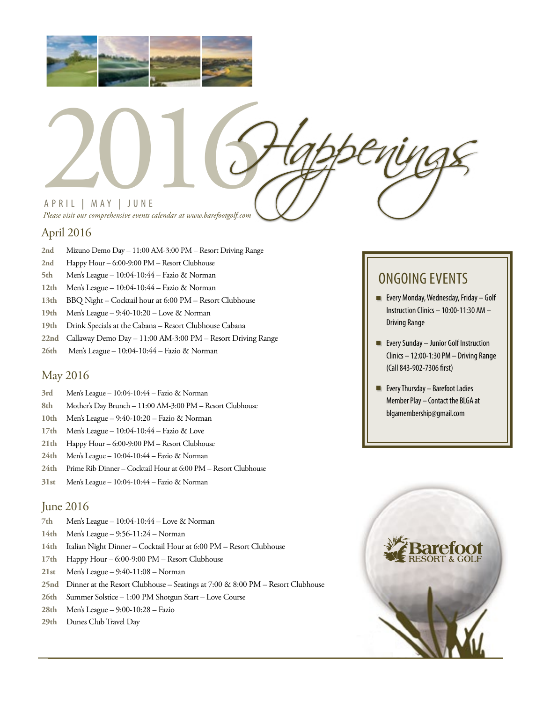



## April 2016

- **2nd** Mizuno Demo Day 11:00 AM-3:00 PM Resort Driving Range
- **2nd** Happy Hour 6:00-9:00 PM Resort Clubhouse
- **5th** Men's League 10:04-10:44 Fazio & Norman
- **12th** Men's League 10:04-10:44 Fazio & Norman
- **13th** BBQ Night Cocktail hour at 6:00 PM Resort Clubhouse
- **19th** Men's League 9:40-10:20 Love & Norman
- **19th** Drink Specials at the Cabana Resort Clubhouse Cabana
- **22nd** Callaway Demo Day 11:00 AM-3:00 PM Resort Driving Range
- **26th** Men's League 10:04-10:44 Fazio & Norman

## May 2016

- **3rd** Men's League 10:04-10:44 Fazio & Norman
- **8th** Mother's Day Brunch 11:00 AM-3:00 PM Resort Clubhouse
- **10th** Men's League 9:40-10:20 Fazio & Norman
- **17th** Men's League 10:04-10:44 Fazio & Love
- **21th** Happy Hour 6:00-9:00 PM Resort Clubhouse
- **24th** Men's League 10:04-10:44 Fazio & Norman
- **24th** Prime Rib Dinner Cocktail Hour at 6:00 PM Resort Clubhouse
- **31st** Men's League 10:04-10:44 Fazio & Norman

#### June 2016

- **7th** Men's League 10:04-10:44 Love & Norman
- **14th** Men's League 9:56-11:24 Norman
- **14th** Italian Night Dinner Cocktail Hour at 6:00 PM Resort Clubhouse
- **17th** Happy Hour 6:00-9:00 PM Resort Clubhouse
- **21st** Men's League 9:40-11:08 Norman
- **25nd** Dinner at the Resort Clubhouse Seatings at 7:00 & 8:00 PM Resort Clubhouse
- **26th** Summer Solstice 1:00 PM Shotgun Start Love Course
- **28th** Men's League 9:00-10:28 Fazio
- **29th** Dunes Club Travel Day

## ONGOING EVENTS

- **Every Monday, Wednesday, Friday Golf** Instruction Clinics – 10:00-11:30 AM – Driving Range
- **Exery Sunday Junior Golf Instruction** Clinics – 12:00-1:30 PM – Driving Range (Call 843-902-7306 first)
- **Exery Thursday Barefoot Ladies** Member Play – Contact the BLGA at blgamembership@gmail.com